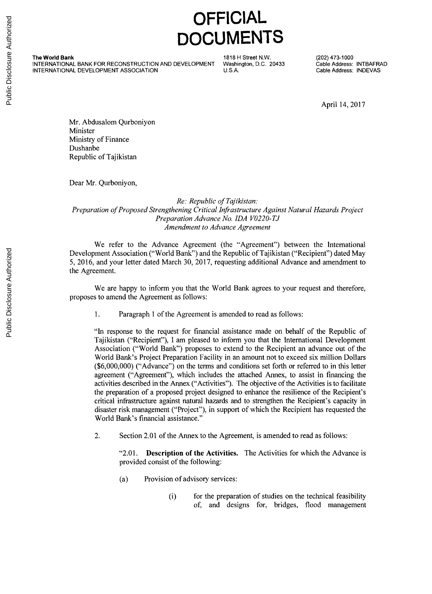## **OFFICIAL DOCUMENTS**

**The World Bank INTERNATIONAL BANK FOR RECONSTRUCTION AND DEVELOPMENT 1818 H Street N.W.** (20433 (202) 473-1000<br>
INTERNATIONAL BANK FOR RECONSTRUCTION AND DEVELOPMENT Washington, D.C. 20433 (2016 Address: INTEAFRANTION INTERNATIONAL DANK FOR RECONSTRUCTION AND DEVELOPMENT VASINIGION, D.C. 20433 Cable Address: INDEVANTIONAL DEVELOPMENT ASSOCIATION **U.S.A.** Cable Address: INDEVA

**D.C. 20433 Cable Address: INTBAFRAD**

April 14, **2017**

Mr. Abdusalom Qurboniyon Minister Ministry of Finance Dushanbe Republic of Tajikistan

Dear Mr. Qurboniyon,

## *Re: Republic of Tajikistan: Preparation ofProposed Strengthening Critical Infrastructure Against Natural Hazards Project Preparation Advance No. IDA V0220-TJ Amendment to Advance Agreement*

We refer to the Advance Agreement (the "Agreement") between the International Development Association ("World Bank") and the Republic of Tajikistan ("Recipient") dated May **5, 2016,** and your letter dated March **30, 2017,** requesting additional Advance and amendment to the Agreement.

We are happy to inform you that the World Bank agrees to your request and therefore, proposes to amend the Agreement as follows:

**1.** Paragraph 1 of the Agreement is amended to read as follows:

"In response to the request for financial assistance made on behalf of the Republic of Tajikistan ("Recipient"), **I** am pleased to inform you that the International Development Association ("World Bank") proposes to extend to the Recipient an advance out of the World Bank's Project Preparation Facility in an amount not to exceed six million Dollars **(\$6,000,000)** ("Advance") on the terms and conditions set forth or referred to in this letter agreement ("Agreement"), which includes the attached Annex, to assist in financing the activities described in the Annex ("Activities"). The objective of the Activities is to facilitate the preparation of a proposed project designed to enhance the resilience of the Recipient's critical infrastructure against natural hazards and to strengthen the Recipient's capacity in disaster risk management ("Project"), in support of which the Recipient has requested the World Bank's financial assistance."

2. Section 2.01 of the Annex to the Agreement, is amended to read as follows:

"2.01. **Description of the Activities.** The Activities for which the Advance is provided consist of the following:

- (a) Provision of advisory services:
	- (i) for the preparation of studies on the technical feasibility of, and designs for, bridges, flood management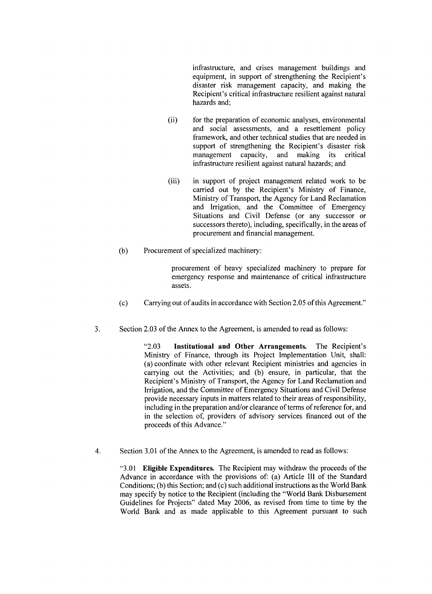infrastructure, and crises management buildings and equipment, in support of strengthening the Recipient's disaster risk management capacity, and making the Recipient's critical infrastructure resilient against natural hazards and;

- (ii) for the preparation of economic analyses, environmental and social assessments, and a resettlement policy framework, and other technical studies that are needed in support of strengthening the Recipient's disaster risk management capacity, and making its critical infrastructure resilient against natural hazards; and
- (iii) in support of project management related work to be carried out **by** the Recipient's Ministry of Finance, Ministry of Transport, the Agency for Land Reclamation and Irrigation, and the Committee of Emergency Situations and Civil Defense (or any successor or successors thereto), including, specifically, in the areas of procurement and financial management.
- **(b)** Procurement of specialized machinery:

procurement of heavy specialized machinery to prepare for emergency response and maintenance of critical infrastructure assets.

- **(c)** Carrying out of audits in accordance with Section **2.05** of this Agreement."
- **3.** Section **2.03** of the Annex to the Agreement, is amended to read as follows:

**"2.03 Institutional and Other Arrangements.** The Recipient's Ministry of Finance, through its Project Implementation Unit, shall: (a) coordinate with other relevant Recipient ministries and agencies in carrying out the Activities; and **(b)** ensure, in particular, that the Recipient's Ministry of Transport, the Agency for Land Reclamation and Irrigation, and the Committee of Emergency Situations and Civil Defense provide necessary inputs in matters related to their areas of responsibility, including in the preparation and/or clearance of terms of reference for, and in the selection of, providers of advisory services financed out of the proceeds of this Advance."

4. Section **3.01** of the Annex to the Agreement, is amended to read as follows:

**"3.01 Eligible Expenditures.** The Recipient may withdraw the proceeds of the Advance in accordance with the provisions of: (a) Article **III** of the Standard Conditions; **(b)** this Section; and (c) such additional instructions as the World Bank may specify **by** notice to the Recipient (including the "World Bank Disbursement Guidelines for Projects" dated May **2006,** as revised from time to time **by** the World Bank and as made applicable to this Agreement pursuant to such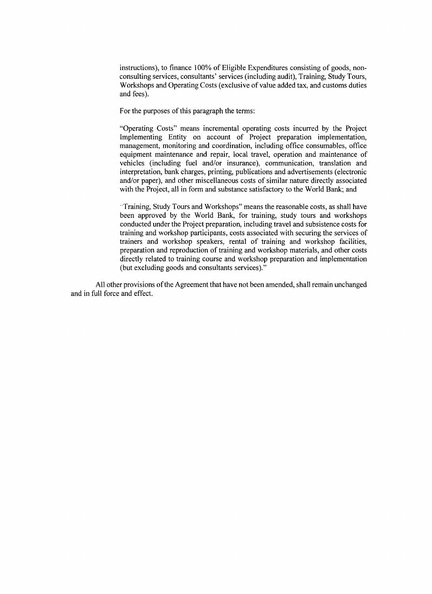instructions), to finance **100%** of Eligible Expenditures consisting of goods, nonconsulting services, consultants' services (including audit), Training, Study Tours, Workshops and Operating Costs (exclusive of value added tax, and customs duties and fees).

For the purposes of this paragraph the terms:

"Operating Costs" means incremental operating costs incurred **by** the Project Implementing Entity on account of Project preparation implementation, management, monitoring and coordination, including office consumables, office equipment maintenance and repair, local travel, operation and maintenance of vehicles (including fuel and/or insurance), communication, translation and interpretation, bank charges, printing, publications and advertisements (electronic and/or paper), and other miscellaneous costs of similar nature directly associated with the Project, all in form and substance satisfactory to the World Bank; and

-Training, Study Tours and Workshops" means the reasonable costs, as shall have been approved **by** the World Bank, for training, study tours and workshops conducted under the Project preparation, including travel and subsistence costs for training and workshop participants, costs associated with securing the services of trainers and workshop speakers, rental of training and workshop facilities, preparation and reproduction of training and workshop materials, and other costs directly related to training course and workshop preparation and implementation (but excluding goods and consultants services)."

**All** other provisions of the Agreement that have not been amended, shall remain unchanged and in full force and effect.